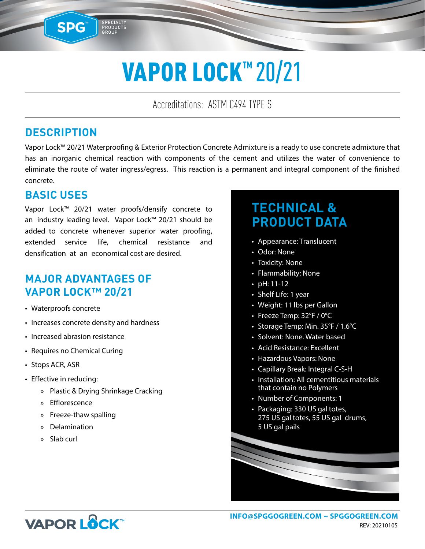# VAPOR LOCK™ 20/21

Accreditations: ASTM C494 TYPE S

#### **DESCRIPTION**

SPG™

SPECIALTY<br>PRODUCTS<br>GROUP

Vapor Lock™ 20/21 Waterproofing & Exterior Protection Concrete Admixture is a ready to use concrete admixture that has an inorganic chemical reaction with components of the cement and utilizes the water of convenience to eliminate the route of water ingress/egress. This reaction is a permanent and integral component of the finished concrete.

#### **BASIC USES**

Vapor Lock™ 20/21 water proofs/densify concrete to an industry leading level. Vapor Lock™ 20/21 should be added to concrete whenever superior water proofing, extended service life, chemical resistance and densification at an economical cost are desired.

#### **MAJOR ADVANTAGES OF VAPOR LOCK™ 20/21**

- Waterproofs concrete
- Increases concrete density and hardness
- Increased abrasion resistance
- Requires no Chemical Curing
- Stops ACR, ASR
- Effective in reducing:
	- » Plastic & Drying Shrinkage Cracking
	- » Efflorescence
	- » Freeze-thaw spalling
	- » Delamination
	- » Slab curl

## **TECHNICAL & PRODUCT DATA**

- Appearance: Translucent
- Odor: None
- Toxicity: None
- Flammability: None
- pH: 11-12
- Shelf Life: 1 year
- Weight: 11 lbs per Gallon
- Freeze Temp: 32°F / 0°C
- Storage Temp: Min. 35°F / 1.6°C
- Solvent: None. Water based
- Acid Resistance: Excellent
- Hazardous Vapors: None
- Capillary Break: Integral C-S-H
- Installation: All cementitious materials that contain no Polymers
- Number of Components: 1
- Packaging: 330 US gal totes, 275 US gal totes, 55 US gal drums, 5 US gal pails